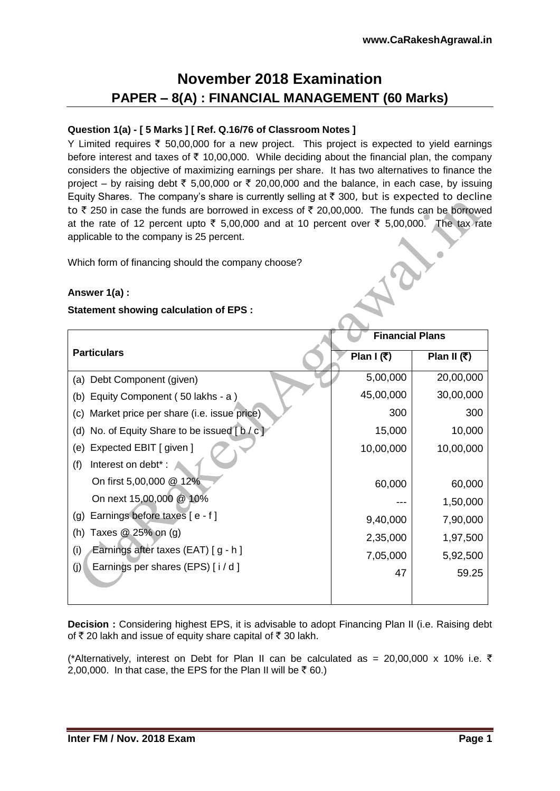# **November 2018 Examination PAPER – 8(A) : FINANCIAL MANAGEMENT (60 Marks)**

# **Question 1(a) - [ 5 Marks ] [ Ref. Q.16/76 of Classroom Notes ]**

Y Limited requires  $\overline{\tau}$  50,00,000 for a new project. This project is expected to yield earnings before interest and taxes of  $\bar{\tau}$  10,00,000. While deciding about the financial plan, the company considers the objective of maximizing earnings per share. It has two alternatives to finance the project – by raising debt  $\overline{\tau}$  5,00,000 or  $\overline{\tau}$  20,00,000 and the balance, in each case, by issuing Equity Shares. The company's share is currently selling at  $\bar{\tau}$  300, but is expected to decline to  $\bar{\tau}$  250 in case the funds are borrowed in excess of  $\bar{\tau}$  20,00,000. The funds can be borrowed at the rate of 12 percent upto  $\bar{\tau}$  5,00,000 and at 10 percent over  $\bar{\tau}$  5,00,000. The tax rate applicable to the company is 25 percent. ARY

Which form of financing should the company choose?

# **Answer 1(a) :**

# **Statement showing calculation of EPS :**

|                                                  | <b>Financial Plans</b> |               |
|--------------------------------------------------|------------------------|---------------|
| <b>Particulars</b>                               | Plan I $(3)$           | Plan II $(3)$ |
| Debt Component (given)<br>(a)                    | 5,00,000               | 20,00,000     |
| Equity Component (50 lakhs - a)<br>(b)           | 45,00,000              | 30,00,000     |
| Market price per share (i.e. issue price)<br>(C) | 300                    | 300           |
| No. of Equity Share to be issued [b/c]<br>(d)    | 15,000                 | 10,000        |
| Expected EBIT [ given ]<br>(e)                   | 10,00,000              | 10,00,000     |
| Interest on debt*:<br>(f)                        |                        |               |
| On first 5,00,000 @ 12%                          | 60,000                 | 60,000        |
| On next 15,00,000 @ 10%                          |                        | 1,50,000      |
| Earnings before taxes [e - f]<br>(g)             | 9,40,000               | 7,90,000      |
| Taxes $@25\%$ on (g)<br>(h)                      | 2,35,000               | 1,97,500      |
| Earnings after taxes (EAT) [g - h]<br>(i)        | 7,05,000               | 5,92,500      |
| Earnings per shares (EPS) [i/d]<br>(j)           | 47                     | 59.25         |
|                                                  |                        |               |
|                                                  |                        |               |

**Decision :** Considering highest EPS, it is advisable to adopt Financing Plan II (i.e. Raising debt of  $\bar{\tau}$  20 lakh and issue of equity share capital of  $\bar{\tau}$  30 lakh.

(\*Alternatively, interest on Debt for Plan II can be calculated as = 20,00,000 x 10% i.e.  $\bar{\tau}$ 2,00,000. In that case, the EPS for the Plan II will be  $\bar{z}$  60.)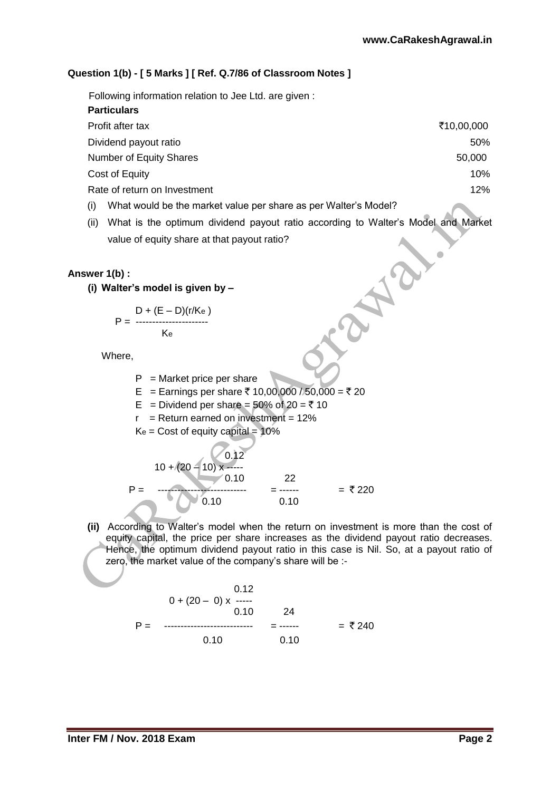$\blacksquare$ 

# **Question 1(b) - [ 5 Marks ] [ Ref. Q.7/86 of Classroom Notes ]**

Following information relation to Jee Ltd. are given :

| <b>Particulars</b>           |            |
|------------------------------|------------|
| Profit after tax             | ₹10,00,000 |
| Dividend payout ratio        | 50%        |
| Number of Equity Shares      | 50,000     |
| Cost of Equity               | 10%        |
| Rate of return on Investment | 12%        |
|                              |            |

- (i) What would be the market value per share as per Walter's Model?
- (ii) What is the optimum dividend payout ratio according to Walter's Model and Market value of equity share at that payout ratio?

#### **Answer 1(b) :**

**(i) Walter's model is given by –**

$$
P = \frac{D + (E - D)(r/K_e)}{K_e}
$$

Where,

- $P =$ Market price per share
- E = Earnings per share ₹ 10,00,000 / 50,000 = ₹ 20
- E = Dividend per share =  $50\%$  of  $20 = \overline{5}$  10
- $r =$  Return earned on investment = 12%
- $Ke = Cost of equity capital =  $10\%$$

$$
P = \frac{10 + (20 - 10) \times \frac{0.12}{0.10}}{0.10} = \frac{22}{0.10} = ₹220
$$

**(ii)** According to Walter's model when the return on investment is more than the cost of equity capital, the price per share increases as the dividend payout ratio decreases. Hence, the optimum dividend payout ratio in this case is Nil. So, at a payout ratio of zero, the market value of the company's share will be :-

$$
0 + (20 - 0) \times \cdots
$$
  
\n0.10 24  
\nP = 0.10 24  
\n0.10 = 0.10 = ₹ 240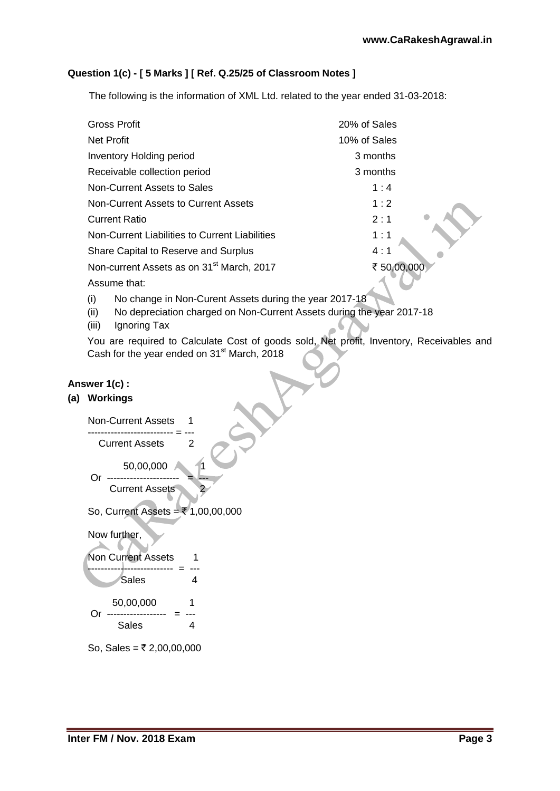# **Question 1(c) - [ 5 Marks ] [ Ref. Q.25/25 of Classroom Notes ]**

The following is the information of XML Ltd. related to the year ended 31-03-2018:

| <b>Gross Profit</b>                                   | 20% of Sales |
|-------------------------------------------------------|--------------|
| <b>Net Profit</b>                                     | 10% of Sales |
| <b>Inventory Holding period</b>                       | 3 months     |
| Receivable collection period                          | 3 months     |
| Non-Current Assets to Sales                           | 1:4          |
| Non-Current Assets to Current Assets                  | 1:2          |
| <b>Current Ratio</b>                                  | 2:1          |
| Non-Current Liabilities to Current Liabilities        | 1:1          |
| Share Capital to Reserve and Surplus                  | 4:1          |
| Non-current Assets as on 31 <sup>st</sup> March, 2017 | ₹ 50,00,000  |
| Assume that:                                          |              |

(i) No change in Non-Curent Assets during the year 2017-18

- (ii) No depreciation charged on Non-Current Assets during the year 2017-18
- (iii) Ignoring Tax

You are required to Calculate Cost of goods sold, Net profit, Inventory, Receivables and Cash for the year ended on  $31<sup>st</sup>$  March, 2018

#### **Answer 1(c) :**

#### **(a) Workings**



So, Sales =  $\overline{z}$  2,00,00,000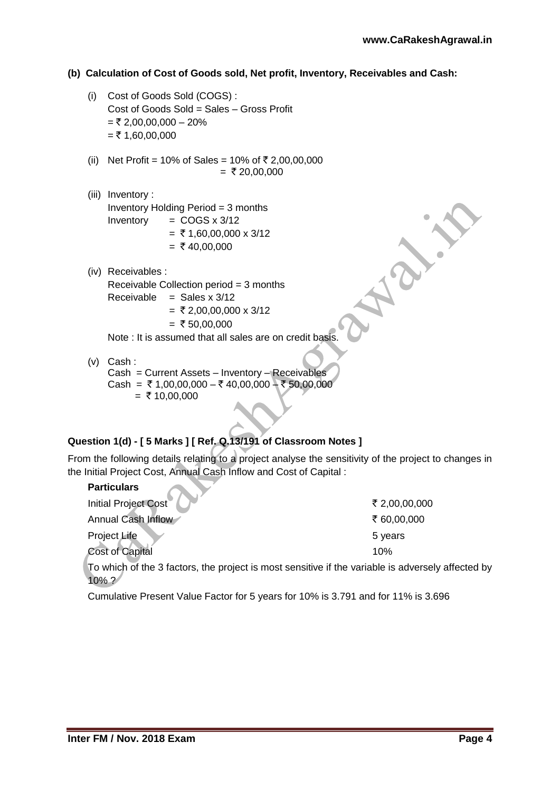### **(b) Calculation of Cost of Goods sold, Net profit, Inventory, Receivables and Cash:**

- (i) Cost of Goods Sold (COGS) : Cost of Goods Sold = Sales – Gross Profit  $=$  ₹ 2,00,00,000 – 20%  $=$  ₹ 1,60,00,000
- (ii) Net Profit = 10% of Sales = 10% of  $\overline{\xi}$  2,00,00,000  $=$  ₹ 20,00,000
- (iii) Inventory : Inventory Holding Period = 3 months Inventory  $=$  COGS  $\times$  3/12  $=$  ₹ 1,60,00,000 x 3/12  $=$  ₹ 40,00,000
- (iv) Receivables :

Receivable Collection period = 3 months Receivable  $=$  Sales x 3/12

- $=$  ₹ 2,00,00,000 x 3/12
- $=$  ₹ 50,00,000

Note : It is assumed that all sales are on credit basis.

(v) Cash : Cash = Current Assets – Inventory – Receivables Cash =  $\overline{x}$  1,00,00,000 –  $\overline{x}$  40,00,000 –  $\overline{x}$  50,00,000  $=$  ₹ 10,00,000

# **Question 1(d) - [ 5 Marks ] [ Ref. Q.13/191 of Classroom Notes ]**

From the following details relating to a project analyse the sensitivity of the project to changes in the Initial Project Cost, Annual Cash Inflow and Cost of Capital :

| <b>Particulars</b>                                                                    |               |
|---------------------------------------------------------------------------------------|---------------|
| <b>Initial Project Cost</b>                                                           | ₹ 2,00,00,000 |
| Annual Cash Inflow                                                                    | ₹ 60,00,000   |
| Project Life                                                                          | 5 years       |
| <b>Cost of Capital</b>                                                                | 10%           |
| To which of the 3 factors, the project is most sensitive if the variable is adversely |               |

ost sensitive if the variable is adversely affected by 10% ?

Cumulative Present Value Factor for 5 years for 10% is 3.791 and for 11% is 3.696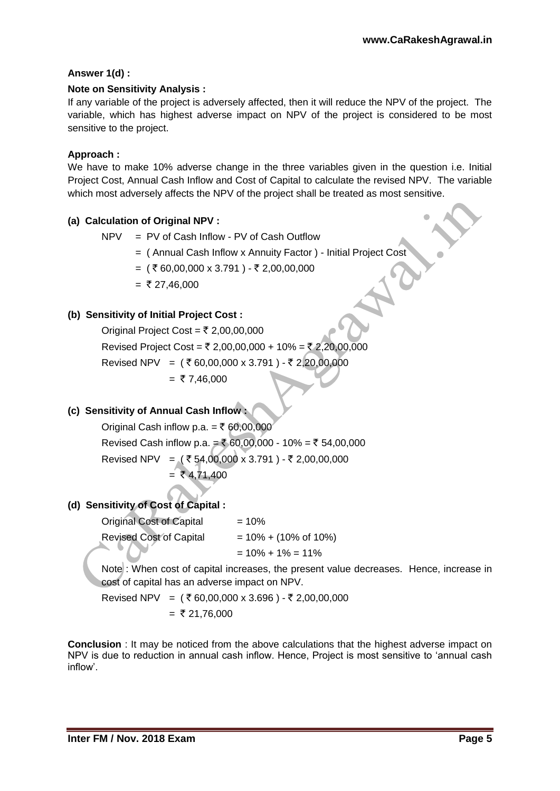# **Answer 1(d) :**

# **Note on Sensitivity Analysis :**

If any variable of the project is adversely affected, then it will reduce the NPV of the project. The variable, which has highest adverse impact on NPV of the project is considered to be most sensitive to the project.

# **Approach :**

We have to make 10% adverse change in the three variables given in the question i.e. Initial Project Cost, Annual Cash Inflow and Cost of Capital to calculate the revised NPV. The variable which most adversely affects the NPV of the project shall be treated as most sensitive.

# **(a) Calculation of Original NPV :**

NPV = PV of Cash Inflow - PV of Cash Outflow

= ( Annual Cash Inflow x Annuity Factor ) - Initial Project Cost

=  $({\overline{\mathcal{R}}}\,60,00,000 \times 3.791)$  - ₹ 2,00,00,000

 $=$  ₹ 27.46,000

# **(b) Sensitivity of Initial Project Cost :**

Original Project Cost =  $\overline{z}$  2,00,00,000 Revised Project Cost = ₹ 2,00,00,000 + 10% = ₹ 2,20,00,000 Revised NPV =  $({ }^{3}$  60,00,000 x 3.791 ) - ₹ 2,20,00,000  $= 7,46,000$ 

# **(c) Sensitivity of Annual Cash Inflow :**

Original Cash inflow p.a. =  $\overline{5}$  60,00,000 Revised Cash inflow p.a. = ₹ 60,00,000 - 10% = ₹ 54,00,000 Revised NPV = (₹54,00,000 x 3.791) - ₹2,00,00,000  $= ₹4,71,400$ 

# **(d) Sensitivity of Cost of Capital :**

Original Cost of Capital  $= 10\%$ Revised Cost of Capital  $= 10\% + (10\% \text{ of } 10\%)$  $= 10\% + 1\% = 11\%$ 

Note : When cost of capital increases, the present value decreases. Hence, increase in cost of capital has an adverse impact on NPV.

Revised NPV =  $({}^{2}$  € 60,00,000 x 3.696 ) - ₹ 2,00,00,000  $=$  ₹ 21,76,000

**Conclusion** : It may be noticed from the above calculations that the highest adverse impact on NPV is due to reduction in annual cash inflow. Hence, Project is most sensitive to 'annual cash inflow'.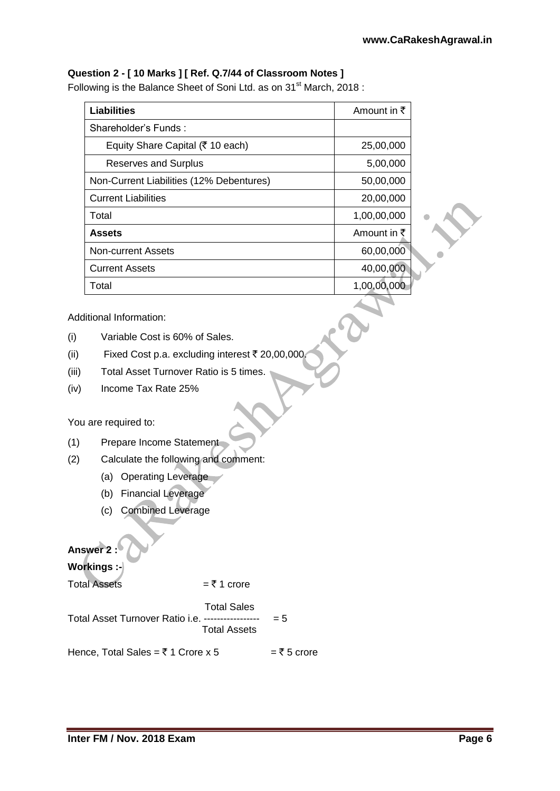# **Question 2 - [ 10 Marks ] [ Ref. Q.7/44 of Classroom Notes ]**

Following is the Balance Sheet of Soni Ltd. as on 31<sup>st</sup> March, 2018 :

| <b>Liabilities</b>                       | Amount in $\bar{\tau}$ |
|------------------------------------------|------------------------|
| Shareholder's Funds:                     |                        |
| Equity Share Capital (₹ 10 each)         | 25,00,000              |
| <b>Reserves and Surplus</b>              | 5,00,000               |
| Non-Current Liabilities (12% Debentures) | 50,00,000              |
| <b>Current Liabilities</b>               | 20,00,000              |
| Total                                    | 1,00,00,000            |
| Assets                                   | Amount in $\bar{\tau}$ |
| <b>Non-current Assets</b>                | 60,00,000              |
| <b>Current Assets</b>                    | 40,00,000              |
| Total                                    | 1,00,00,000            |

Additional Information:

- (i) Variable Cost is 60% of Sales.
- (ii) Fixed Cost p.a. excluding interest  $\bar{\tau}$  20,00,000.
- (iii) Total Asset Turnover Ratio is 5 times.
- (iv) Income Tax Rate 25%

You are required to:

- (1) Prepare Income Statement
- (2) Calculate the following and comment:
	- (a) Operating Leverage
	- (b) Financial Leverage
	- (c) Combined Leverage

# **Answer 2 :**

**Workings :-**

Total Assets  $=$   $\overline{z}$  1 crore

Total Sales

Total Asset Turnover Ratio i.e. ----------------- = 5 Total Assets

Hence, Total Sales =  $\overline{\xi}$  1 Crore x 5 =  $\overline{\xi}$  5 crore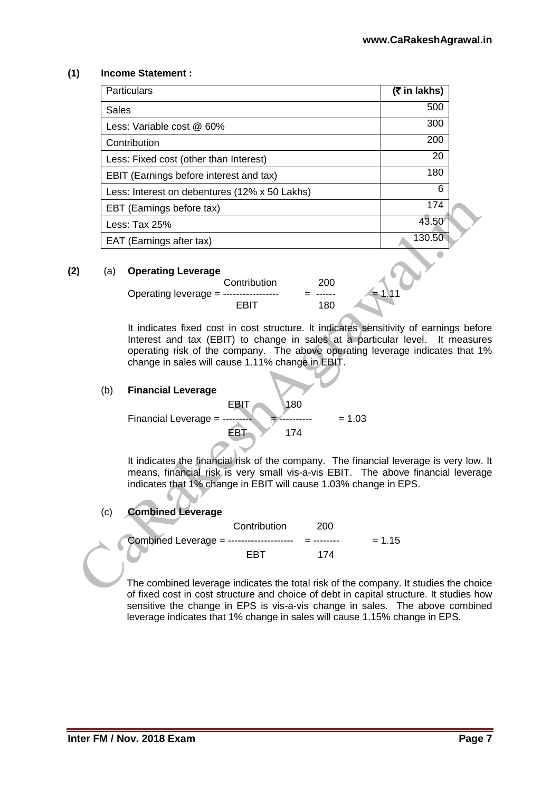### **(1) Income Statement :**

| <b>Particulars</b>                            | $(5 \in \mathsf{In} \mathsf{lakhs})$ |
|-----------------------------------------------|--------------------------------------|
| Sales                                         | 500                                  |
| Less: Variable cost @ 60%                     | 300                                  |
| Contribution                                  | 200                                  |
| Less: Fixed cost (other than Interest)        | 20                                   |
| EBIT (Earnings before interest and tax)       | 180                                  |
| Less: Interest on debentures (12% x 50 Lakhs) | 6                                    |
| EBT (Earnings before tax)                     | 174                                  |
| Less: Tax $25%$                               | 43.50                                |
| EAT (Earnings after tax)                      | 130.50                               |
|                                               |                                      |

#### **(2)** (a) **Operating Leverage**

| Contribution                           | 200 |          |
|----------------------------------------|-----|----------|
| Operating leverage = ----------------- |     | $= 1.11$ |
| FRIT                                   | 180 |          |

It indicates fixed cost in cost structure. It indicates sensitivity of earnings before Interest and tax (EBIT) to change in sales at a particular level. It measures operating risk of the company. The above operating leverage indicates that 1% change in sales will cause 1.11% change in EBIT.

#### (b) **Financial Leverage**

**EBIT** 180 Financial Leverage =  $\frac{1}{2}$ EBT 174

It indicates the financial risk of the company. The financial leverage is very low. It means, financial risk is very small vis-a-vis EBIT. The above financial leverage indicates that 1% change in EBIT will cause 1.03% change in EPS.

### (c) **Combined Leverage**

 Contribution 200 Combined Leverage = -------------------- = -------- = 1.15 EBT 174

The combined leverage indicates the total risk of the company. It studies the choice of fixed cost in cost structure and choice of debt in capital structure. It studies how sensitive the change in EPS is vis-a-vis change in sales. The above combined leverage indicates that 1% change in sales will cause 1.15% change in EPS.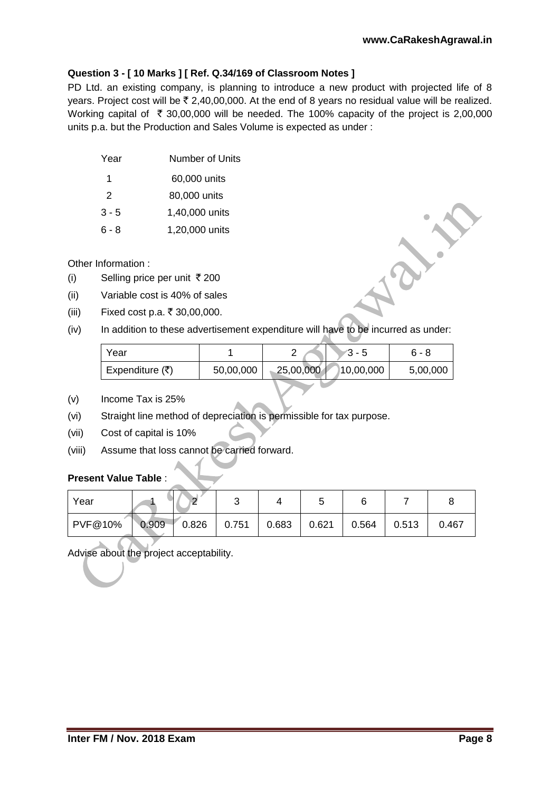# **Question 3 - [ 10 Marks ] [ Ref. Q.34/169 of Classroom Notes ]**

PD Ltd. an existing company, is planning to introduce a new product with projected life of 8 years. Project cost will be  $\bar{\tau}$  2,40,00,000. At the end of 8 years no residual value will be realized. Working capital of  $\bar{\tau}$  30,00,000 will be needed. The 100% capacity of the project is 2,00,000 units p.a. but the Production and Sales Volume is expected as under :

| Year | Number of Units |
|------|-----------------|
|      |                 |

1 60,000 units

2 80,000 units

- 3 5 1,40,000 units
- 6 8 1,20,000 units

# Other Information :

- (i) Selling price per unit  $\bar{\tau}$  200
- (ii) Variable cost is 40% of sales
- (iii) Fixed cost p.a. ₹ 30,00,000.
- (iv) In addition to these advertisement expenditure will have to be incurred as under:

| Year            |           |           | 3 - 5     | 6 - 8    |
|-----------------|-----------|-----------|-----------|----------|
| Expenditure (₹) | 50,00,000 | 25,00,000 | 10,00,000 | 5,00,000 |

- (v) Income Tax is 25%
- (vi) Straight line method of depreciation is permissible for tax purpose.
- (vii) Cost of capital is 10%
- (viii) Assume that loss cannot be carried forward.

# **Present Value Table** :

| Year    |       |                 |       |       |       |       |       |       |
|---------|-------|-----------------|-------|-------|-------|-------|-------|-------|
| PVF@10% | 0.909 | $\degree$ 0.826 | 0.751 | 0.683 | 0.621 | 0.564 | 0.513 | 0.467 |

Advise about the project acceptability.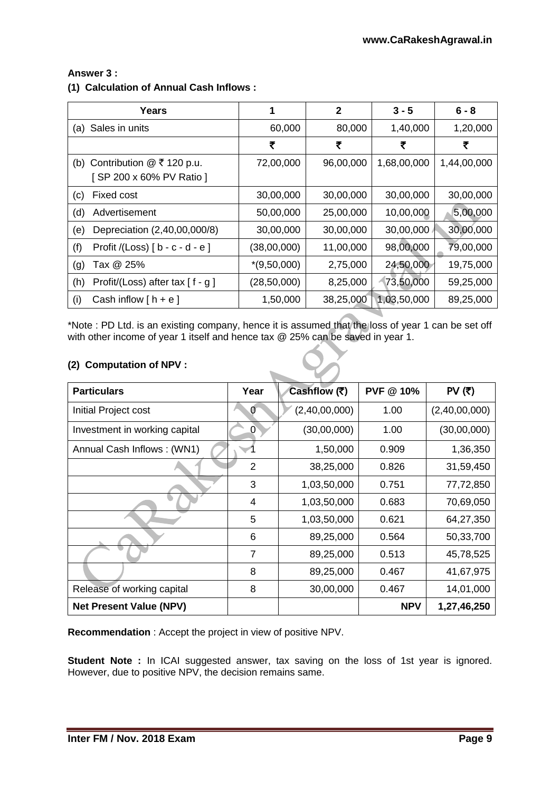# **Answer 3 :**

### **(1) Calculation of Annual Cash Inflows :**

| Years                                     | 1             | $\mathbf{2}$ | $3 - 5$     | $6 - 8$     |
|-------------------------------------------|---------------|--------------|-------------|-------------|
| (a) Sales in units                        | 60,000        | 80,000       | 1,40,000    | 1,20,000    |
|                                           | ₹             | ₹            | ₹           | ₹           |
| (b) Contribution $@$ ₹ 120 p.u.           | 72,00,000     | 96,00,000    | 1,68,00,000 | 1,44,00,000 |
| [SP 200 x 60% PV Ratio ]                  |               |              |             |             |
| Fixed cost<br>(c)                         | 30,00,000     | 30,00,000    | 30,00,000   | 30,00,000   |
| (d)<br>Advertisement                      | 50,00,000     | 25,00,000    | 10,00,000   | 5,00,000    |
| Depreciation (2,40,00,000/8)<br>(e)       | 30,00,000     | 30,00,000    | 30,00,000   | 30,00,000   |
| (f)<br>Profit /(Loss) $[ b - c - d - e ]$ | (38,00,000)   | 11,00,000    | 98,00,000   | 79,00,000   |
| Tax @ 25%<br>(g)                          | $*(9,50,000)$ | 2,75,000     | 24,50,000   | 19,75,000   |
| (h)<br>Profit/(Loss) after tax [f - g]    | (28, 50, 000) | 8,25,000     | 73,50,000   | 59,25,000   |
| Cash inflow $[h + e]$<br>(i)              | 1,50,000      | 38,25,000    | 1,03,50,000 | 89,25,000   |

\*Note : PD Ltd. is an existing company, hence it is assumed that the loss of year 1 can be set off with other income of year 1 itself and hence tax @ 25% can be saved in year 1.

# **(2) Computation of NPV :**

| <b>Particulars</b>             | Year           | Cashflow (そ)  | <b>PVF @ 10%</b> | PV $(5)$      |
|--------------------------------|----------------|---------------|------------------|---------------|
| Initial Project cost           | 0              | (2,40,00,000) | 1.00             | (2,40,00,000) |
| Investment in working capital  | 0              | (30,00,000)   | 1.00             | (30,00,000)   |
| Annual Cash Inflows: (WN1)     |                | 1,50,000      | 0.909            | 1,36,350      |
|                                | 2              | 38,25,000     | 0.826            | 31,59,450     |
|                                | 3              | 1,03,50,000   | 0.751            | 77,72,850     |
|                                | 4              | 1,03,50,000   | 0.683            | 70,69,050     |
|                                | 5              | 1,03,50,000   | 0.621            | 64,27,350     |
|                                | 6              | 89,25,000     | 0.564            | 50,33,700     |
|                                | $\overline{7}$ | 89,25,000     | 0.513            | 45,78,525     |
|                                | 8              | 89,25,000     | 0.467            | 41,67,975     |
| Release of working capital     | 8              | 30,00,000     | 0.467            | 14,01,000     |
| <b>Net Present Value (NPV)</b> |                |               | <b>NPV</b>       | 1,27,46,250   |

**Recommendation** : Accept the project in view of positive NPV.

**Student Note :** In ICAI suggested answer, tax saving on the loss of 1st year is ignored. However, due to positive NPV, the decision remains same.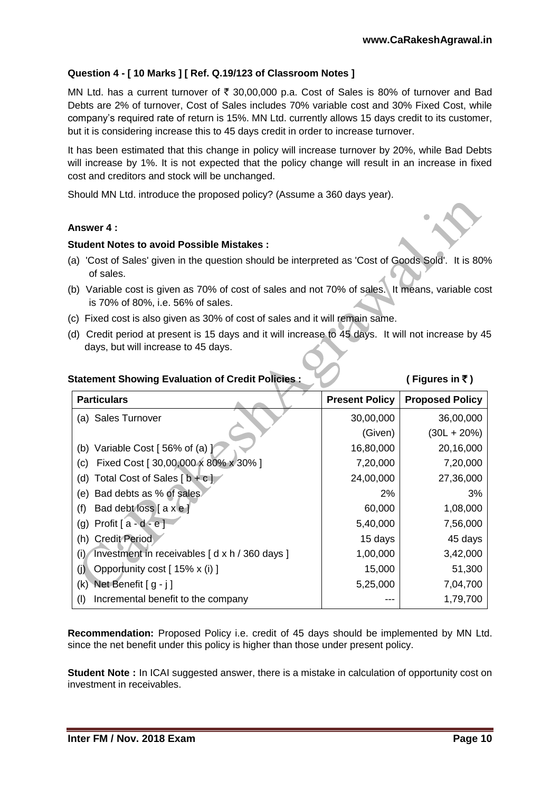# **Question 4 - [ 10 Marks ] [ Ref. Q.19/123 of Classroom Notes ]**

MN Ltd. has a current turnover of  $\bar{\tau}$  30,00,000 p.a. Cost of Sales is 80% of turnover and Bad Debts are 2% of turnover, Cost of Sales includes 70% variable cost and 30% Fixed Cost, while company's required rate of return is 15%. MN Ltd. currently allows 15 days credit to its customer, but it is considering increase this to 45 days credit in order to increase turnover.

It has been estimated that this change in policy will increase turnover by 20%, while Bad Debts will increase by 1%. It is not expected that the policy change will result in an increase in fixed cost and creditors and stock will be unchanged.

Should MN Ltd. introduce the proposed policy? (Assume a 360 days year).

# **Answer 4 :**

### **Student Notes to avoid Possible Mistakes :**

- (a) 'Cost of Sales' given in the question should be interpreted as 'Cost of Goods Sold'. It is 80% of sales.
- (b) Variable cost is given as 70% of cost of sales and not 70% of sales. It means, variable cost is 70% of 80%, i.e. 56% of sales.
- (c) Fixed cost is also given as 30% of cost of sales and it will remain same.
- (d) Credit period at present is 15 days and it will increase to 45 days. It will not increase by 45 days, but will increase to 45 days.

|  |  |  | <b>Statement Showing Evaluation of Credit Policies:</b> |  |
|--|--|--|---------------------------------------------------------|--|
|--|--|--|---------------------------------------------------------|--|

# **(Figures in ₹)**

| <b>Particulars</b>                                   | <b>Present Policy</b> | <b>Proposed Policy</b> |
|------------------------------------------------------|-----------------------|------------------------|
| (a) Sales Turnover                                   | 30,00,000             | 36,00,000              |
|                                                      | (Given)               | $(30L + 20\%)$         |
| (b) Variable Cost $[56\%$ of (a) $]$                 | 16,80,000             | 20,16,000              |
| Fixed Cost [ 30,00,000 x 80% x 30% ]<br>(c)          | 7,20,000              | 7,20,000               |
| Total Cost of Sales $\lceil b + c \rceil$<br>(d)     | 24,00,000             | 27,36,000              |
| Bad debts as % of sales<br>(e)                       | 2%                    | 3%                     |
| Bad debt loss $[$ a x e $]$<br>(f)                   | 60,000                | 1,08,000               |
| Profit $[a - d - e]$<br>(g)                          | 5,40,000              | 7,56,000               |
| <b>Credit Period</b><br>(h)                          | 15 days               | 45 days                |
| Investment in receivables [d x h / 360 days ]<br>(i) | 1,00,000              | 3,42,000               |
| Opportunity cost [ 15% x (i) ]<br>(j)                | 15,000                | 51,300                 |
| Net Benefit [ g - j ]<br>(k)                         | 5,25,000              | 7,04,700               |
| Incremental benefit to the company<br>(1)            |                       | 1,79,700               |

**Recommendation:** Proposed Policy i.e. credit of 45 days should be implemented by MN Ltd. since the net benefit under this policy is higher than those under present policy.

**Student Note :** In ICAI suggested answer, there is a mistake in calculation of opportunity cost on investment in receivables.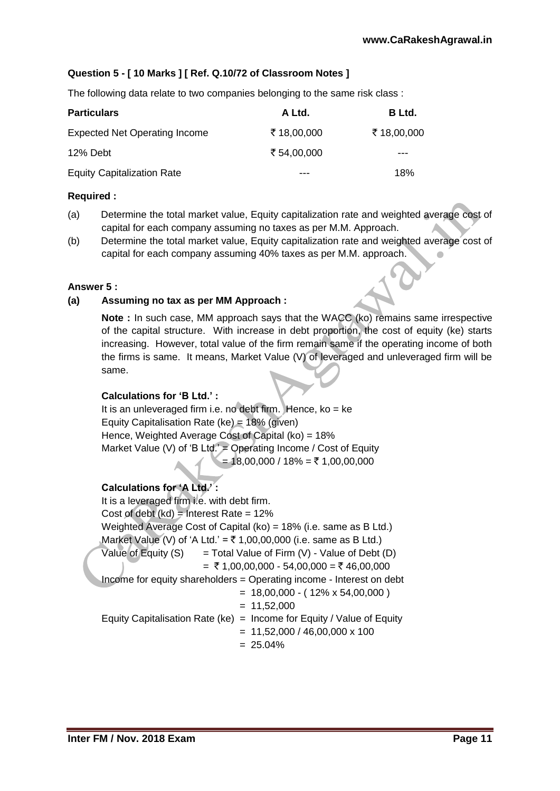# **Question 5 - [ 10 Marks ] [ Ref. Q.10/72 of Classroom Notes ]**

The following data relate to two companies belonging to the same risk class :

| <b>Particulars</b>                   | A Ltd.      | B Ltd.     |
|--------------------------------------|-------------|------------|
| <b>Expected Net Operating Income</b> | ₹18,00,000  | ₹18,00,000 |
| 12% Debt                             | ₹ 54,00,000 | ---        |
| <b>Equity Capitalization Rate</b>    |             | 18%        |

#### **Required :**

- (a) Determine the total market value, Equity capitalization rate and weighted average cost of capital for each company assuming no taxes as per M.M. Approach.
- (b) Determine the total market value, Equity capitalization rate and weighted average cost of capital for each company assuming 40% taxes as per M.M. approach.

#### **Answer 5 :**

### **(a) Assuming no tax as per MM Approach :**

**Note :** In such case, MM approach says that the WACC (ko) remains same irrespective of the capital structure. With increase in debt proportion, the cost of equity (ke) starts increasing. However, total value of the firm remain same if the operating income of both the firms is same. It means, Market Value (V) of leveraged and unleveraged firm will be same.

#### **Calculations for 'B Ltd.' :**

It is an unleveraged firm i.e. no debt firm. Hence, ko = ke Equity Capitalisation Rate (ke) = 18% (given) Hence, Weighted Average Cost of Capital (ko) = 18% Market Value (V) of 'B Ltd.' = Operating Income / Cost of Equity  $= 18,00,000 / 18\% = ₹ 1,00,00,000$ 

### **Calculations for 'A Ltd.' :**

It is a leveraged firm i.e. with debt firm. Cost of debt  $(kd)$  = Interest Rate = 12% Weighted Average Cost of Capital (ko) = 18% (i.e. same as B Ltd.) Market Value (V) of 'A Ltd.' =  $\bar{\tau}$  1,00,00,000 (i.e. same as B Ltd.) Value of Equity  $(S)$  = Total Value of Firm  $(V)$  - Value of Debt  $(D)$  $=$  ₹ 1,00,00,000 - 54,00,000 = ₹ 46,00,000 Income for equity shareholders = Operating income - Interest on debt  $= 18,00,000 - (12\% \times 54,00,000)$  $= 11,52,000$ Equity Capitalisation Rate (ke) = Income for Equity / Value of Equity  $= 11,52,000 / 46,00,000 \times 100$  $= 25.04\%$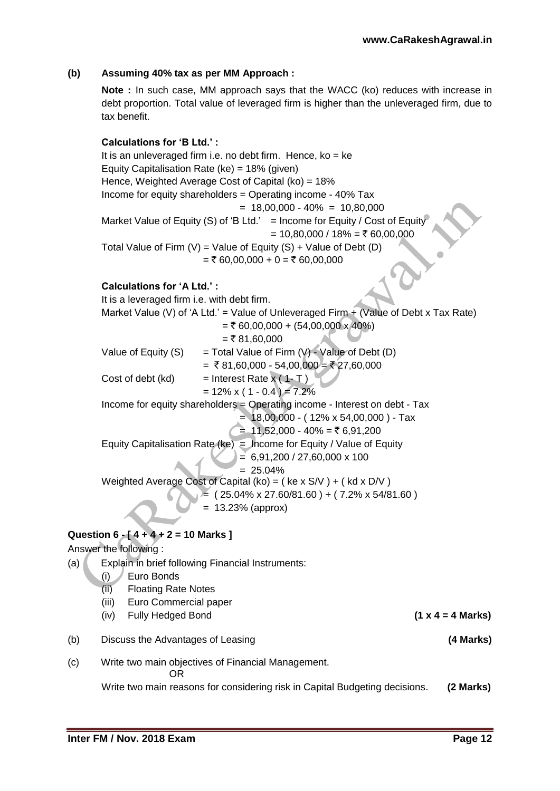# **(b) Assuming 40% tax as per MM Approach :**

**Note :** In such case, MM approach says that the WACC (ko) reduces with increase in debt proportion. Total value of leveraged firm is higher than the unleveraged firm, due to tax benefit.

**Calculations for 'B Ltd.' :** It is an unleveraged firm i.e. no debt firm. Hence,  $ko = ke$ Equity Capitalisation Rate (ke) = 18% (given) Hence, Weighted Average Cost of Capital (ko) = 18% Income for equity shareholders = Operating income - 40% Tax  $= 18,00,000 - 40\% = 10,80,000$ Market Value of Equity (S) of 'B Ltd.' = Income for Equity / Cost of Equity  $= 10,80,000 / 18\% = ₹ 60,00,000$ Total Value of Firm  $(V)$  = Value of Equity  $(S)$  + Value of Debt  $(D)$  $=$  ₹ 60,00,000 + 0 = ₹ 60,00,000 **Calculations for 'A Ltd.' :** It is a leveraged firm i.e. with debt firm. Market Value (V) of 'A Ltd.' = Value of Unleveraged Firm  $+$  (Value of Debt x Tax Rate)  $=$  ₹ 60,00,000 + (54,00,000 x 40%)  $=$  ₹ 81,60,000 Value of Equity (S) = Total Value of Firm  $(V)$  - Value of Debt (D)  $= ₹81,60,000 - 54,00,000 = ₹27,60,000$ Cost of debt  $(kd)$  = Interest Rate  $x(1-T)$  $= 12\% \times (1 - 0.4) = 7.2\%$ Income for equity shareholders  $=$  Operating income - Interest on debt - Tax  $= 18,00,000 - (12\% \times 54,00,000) - Tax$  $= 11,52,000 - 40\% = ₹ 6,91,200$ Equity Capitalisation Rate (ke) = Income for Equity / Value of Equity  $= 6,91,200 / 27,60,000 \times 100$  $= 25.04\%$ Weighted Average Cost of Capital (ko) =  $(ke \times S/V) + (kde \times D/V)$  $\geq$  ( 25.04% x 27.60/81.60 ) + ( 7.2% x 54/81.60 )  $= 13.23%$  (approx) **Question 6 - [ 4 + 4 + 2 = 10 Marks ]** Answer the following : (a) Explain in brief following Financial Instruments: (i) Euro Bonds (ii) Floating Rate Notes (iii) Euro Commercial paper (iv) Fully Hedged Bond **(1 x 4 = 4 Marks)** (b) Discuss the Advantages of Leasing **(4 Marks)** (c) Write two main objectives of Financial Management. OR

Write two main reasons for considering risk in Capital Budgeting decisions. **(2 Marks)**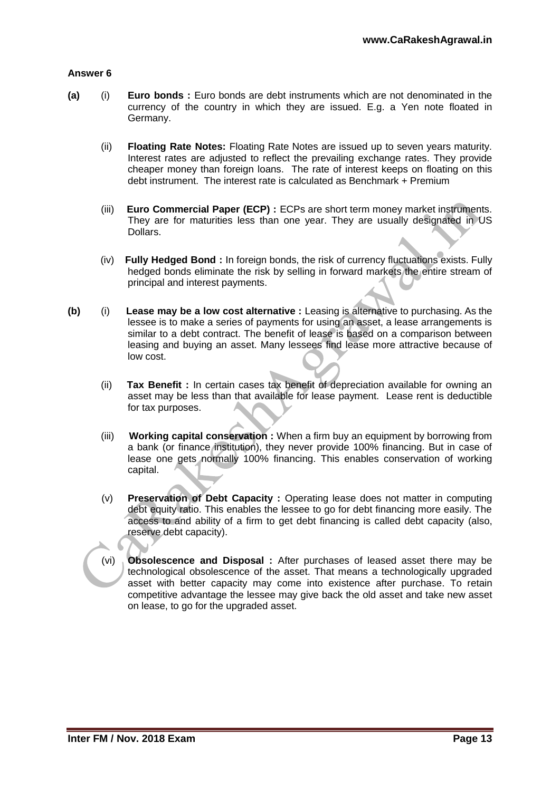### **Answer 6**

- **(a)** (i) **Euro bonds :** Euro bonds are debt instruments which are not denominated in the currency of the country in which they are issued. E.g. a Yen note floated in Germany.
	- (ii) **Floating Rate Notes:** Floating Rate Notes are issued up to seven years maturity. Interest rates are adjusted to reflect the prevailing exchange rates. They provide cheaper money than foreign loans. The rate of interest keeps on floating on this debt instrument. The interest rate is calculated as Benchmark + Premium
	- (iii) **Euro Commercial Paper (ECP) :** ECPs are short term money market instruments. They are for maturities less than one year. They are usually designated in US Dollars.
	- (iv) **Fully Hedged Bond :** In foreign bonds, the risk of currency fluctuations exists. Fully hedged bonds eliminate the risk by selling in forward markets the entire stream of principal and interest payments.
- **(b)** (i) **Lease may be a low cost alternative :** Leasing is alternative to purchasing. As the lessee is to make a series of payments for using an asset, a lease arrangements is similar to a debt contract. The benefit of lease is based on a comparison between leasing and buying an asset. Many lessees find lease more attractive because of low cost.
	- (ii) **Tax Benefit :** In certain cases tax benefit of depreciation available for owning an asset may be less than that available for lease payment. Lease rent is deductible for tax purposes.
	- (iii) **Working capital conservation :** When a firm buy an equipment by borrowing from a bank (or finance institution), they never provide 100% financing. But in case of lease one gets normally 100% financing. This enables conservation of working capital.
	- (v) **Preservation of Debt Capacity :** Operating lease does not matter in computing debt equity ratio. This enables the lessee to go for debt financing more easily. The access to and ability of a firm to get debt financing is called debt capacity (also, reserve debt capacity).

(vi) **Obsolescence and Disposal :** After purchases of leased asset there may be technological obsolescence of the asset. That means a technologically upgraded asset with better capacity may come into existence after purchase. To retain competitive advantage the lessee may give back the old asset and take new asset on lease, to go for the upgraded asset.